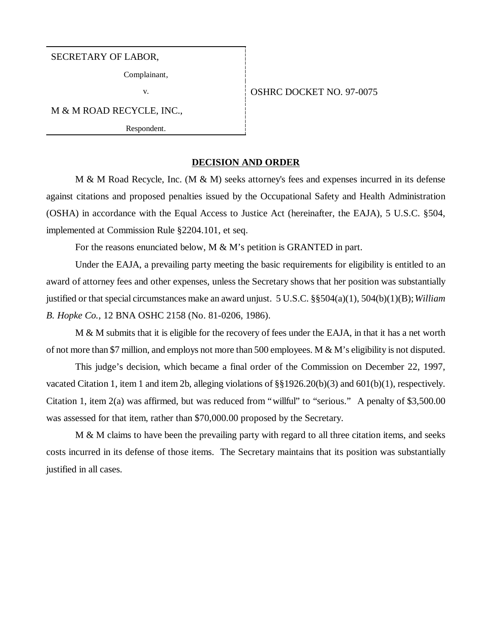# SECRETARY OF LABOR,

Complainant,

v. STREET NO. 97-0075

M & M ROAD RECYCLE, INC.,

Respondent.

# **DECISION AND ORDER**

M & M Road Recycle, Inc.  $(M & M)$  seeks attorney's fees and expenses incurred in its defense against citations and proposed penalties issued by the Occupational Safety and Health Administration (OSHA) in accordance with the Equal Access to Justice Act (hereinafter, the EAJA), 5 U.S.C. §504, implemented at Commission Rule §2204.101, et seq.

For the reasons enunciated below, M & M's petition is GRANTED in part.

Under the EAJA, a prevailing party meeting the basic requirements for eligibility is entitled to an award of attorney fees and other expenses, unless the Secretary shows that her position was substantially justified or that special circumstances make an award unjust. 5 U.S.C. §§504(a)(1), 504(b)(1)(B); *William B. Hopke Co.*, 12 BNA OSHC 2158 (No. 81-0206, 1986).

M & M submits that it is eligible for the recovery of fees under the EAJA, in that it has a net worth of not more than \$7 million, and employs not more than 500 employees. M  $\&$  M's eligibility is not disputed.

This judge's decision, which became a final order of the Commission on December 22, 1997, vacated Citation 1, item 1 and item 2b, alleging violations of §§1926.20(b)(3) and 601(b)(1), respectively. Citation 1, item 2(a) was affirmed, but was reduced from "willful" to "serious." A penalty of \$3,500.00 was assessed for that item, rather than \$70,000.00 proposed by the Secretary.

M & M claims to have been the prevailing party with regard to all three citation items, and seeks costs incurred in its defense of those items. The Secretary maintains that its position was substantially justified in all cases.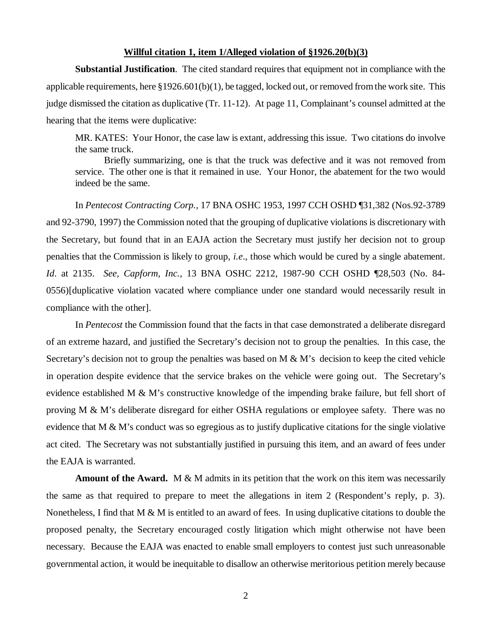# **Willful citation 1, item 1/Alleged violation of §1926.20(b)(3)**

**Substantial Justification**. The cited standard requires that equipment not in compliance with the applicable requirements, here  $\S 1926.601(b)(1)$ , be tagged, locked out, or removed from the work site. This judge dismissed the citation as duplicative (Tr. 11-12). At page 11, Complainant's counsel admitted at the hearing that the items were duplicative:

MR. KATES: Your Honor, the case law is extant, addressing this issue. Two citations do involve the same truck.

Briefly summarizing, one is that the truck was defective and it was not removed from service. The other one is that it remained in use. Your Honor, the abatement for the two would indeed be the same.

In *Pentecost Contracting Corp.,* 17 BNA OSHC 1953, 1997 CCH OSHD ¶31,382 (Nos.92-3789 and 92-3790, 1997) the Commission noted that the grouping of duplicative violations is discretionary with the Secretary, but found that in an EAJA action the Secretary must justify her decision not to group penalties that the Commission is likely to group, *i.e*., those which would be cured by a single abatement. *Id*. at 2135. *See, Capform, Inc.*, 13 BNA OSHC 2212, 1987-90 CCH OSHD ¶28,503 (No. 84- 0556)[duplicative violation vacated where compliance under one standard would necessarily result in compliance with the other].

In *Pentecost* the Commission found that the facts in that case demonstrated a deliberate disregard of an extreme hazard, and justified the Secretary's decision not to group the penalties. In this case, the Secretary's decision not to group the penalties was based on  $M \& M$ 's decision to keep the cited vehicle in operation despite evidence that the service brakes on the vehicle were going out. The Secretary's evidence established M & M's constructive knowledge of the impending brake failure, but fell short of proving M & M's deliberate disregard for either OSHA regulations or employee safety. There was no evidence that  $M \& M$ 's conduct was so egregious as to justify duplicative citations for the single violative act cited. The Secretary was not substantially justified in pursuing this item, and an award of fees under the EAJA is warranted.

**Amount of the Award.** M & M admits in its petition that the work on this item was necessarily the same as that required to prepare to meet the allegations in item 2 (Respondent's reply, p. 3). Nonetheless, I find that M & M is entitled to an award of fees. In using duplicative citations to double the proposed penalty, the Secretary encouraged costly litigation which might otherwise not have been necessary. Because the EAJA was enacted to enable small employers to contest just such unreasonable governmental action, it would be inequitable to disallow an otherwise meritorious petition merely because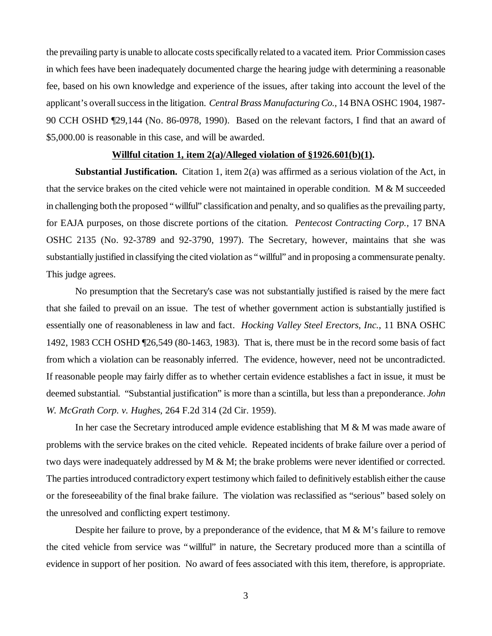the prevailing party is unable to allocate costs specifically related to a vacated item. Prior Commission cases in which fees have been inadequately documented charge the hearing judge with determining a reasonable fee, based on his own knowledge and experience of the issues, after taking into account the level of the applicant's overall success in the litigation. *Central Brass Manufacturing Co.,* 14 BNA OSHC 1904, 1987- 90 CCH OSHD ¶29,144 (No. 86-0978, 1990). Based on the relevant factors, I find that an award of \$5,000.00 is reasonable in this case, and will be awarded.

# **Willful citation 1, item 2(a)/Alleged violation of §1926.601(b)(1).**

**Substantial Justification.** Citation 1, item 2(a) was affirmed as a serious violation of the Act, in that the service brakes on the cited vehicle were not maintained in operable condition. M & M succeeded in challenging both the proposed "willful" classification and penalty, and so qualifies as the prevailing party, for EAJA purposes, on those discrete portions of the citation. *Pentecost Contracting Corp.,* 17 BNA OSHC 2135 (No. 92-3789 and 92-3790, 1997). The Secretary, however, maintains that she was substantially justified in classifying the cited violation as "willful" and in proposing a commensurate penalty. This judge agrees.

No presumption that the Secretary's case was not substantially justified is raised by the mere fact that she failed to prevail on an issue. The test of whether government action is substantially justified is essentially one of reasonableness in law and fact. *Hocking Valley Steel Erectors, Inc.*, 11 BNA OSHC 1492, 1983 CCH OSHD ¶26,549 (80-1463, 1983). That is, there must be in the record some basis of fact from which a violation can be reasonably inferred. The evidence, however, need not be uncontradicted. If reasonable people may fairly differ as to whether certain evidence establishes a fact in issue, it must be deemed substantial. "Substantial justification" is more than a scintilla, but less than a preponderance. *John W. McGrath Corp. v. Hughes*, 264 F.2d 314 (2d Cir. 1959).

In her case the Secretary introduced ample evidence establishing that M & M was made aware of problems with the service brakes on the cited vehicle. Repeated incidents of brake failure over a period of two days were inadequately addressed by M & M; the brake problems were never identified or corrected. The parties introduced contradictory expert testimony which failed to definitively establish either the cause or the foreseeability of the final brake failure. The violation was reclassified as "serious" based solely on the unresolved and conflicting expert testimony.

Despite her failure to prove, by a preponderance of the evidence, that  $M \& M$ 's failure to remove the cited vehicle from service was "willful" in nature, the Secretary produced more than a scintilla of evidence in support of her position. No award of fees associated with this item, therefore, is appropriate.